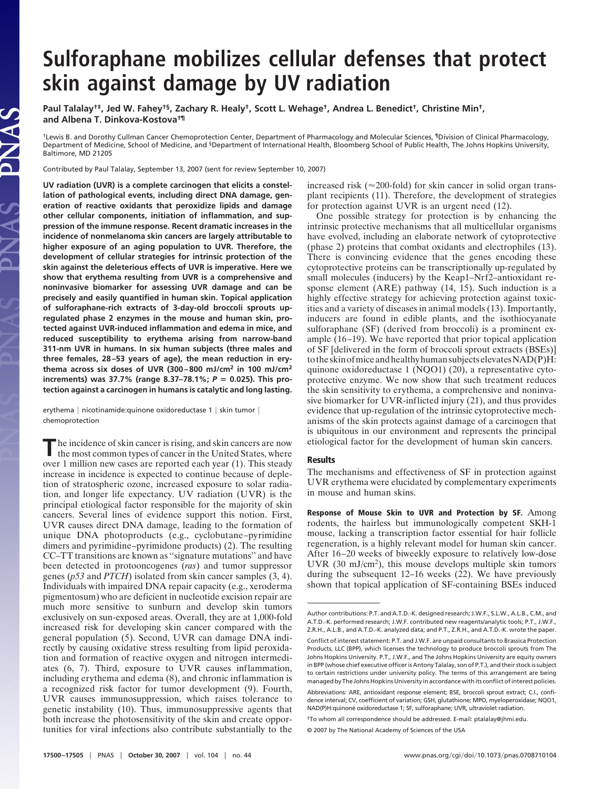## **Sulforaphane mobilizes cellular defenses that protect skin against damage by UV radiation**

**Paul Talalay†‡, Jed W. Fahey†§, Zachary R. Healy†, Scott L. Wehage†, Andrea L. Benedict†, Christine Min†, and Albena T. Dinkova-Kostova†¶**

†Lewis B. and Dorothy Cullman Cancer Chemoprotection Center, Department of Pharmacology and Molecular Sciences, ¶Division of Clinical Pharmacology, Department of Medicine, School of Medicine, and §Department of International Health, Bloomberg School of Public Health, The Johns Hopkins University, Baltimore, MD 21205

Contributed by Paul Talalay, September 13, 2007 (sent for review September 10, 2007)

JAS

**UV radiation (UVR) is a complete carcinogen that elicits a constellation of pathological events, including direct DNA damage, generation of reactive oxidants that peroxidize lipids and damage other cellular components, initiation of inflammation, and suppression of the immune response. Recent dramatic increases in the incidence of nonmelanoma skin cancers are largely attributable to higher exposure of an aging population to UVR. Therefore, the development of cellular strategies for intrinsic protection of the skin against the deleterious effects of UVR is imperative. Here we show that erythema resulting from UVR is a comprehensive and noninvasive biomarker for assessing UVR damage and can be precisely and easily quantified in human skin. Topical application of sulforaphane-rich extracts of 3-day-old broccoli sprouts upregulated phase 2 enzymes in the mouse and human skin, protected against UVR-induced inflammation and edema in mice, and reduced susceptibility to erythema arising from narrow-band 311-nm UVR in humans. In six human subjects (three males and three females, 28–53 years of age), the mean reduction in erythema across six doses of UVR (300–800 mJ/cm2 in 100 mJ/cm2 increments) was 37.7% (range 8.37–78.1%;** *P* **0.025). This protection against a carcinogen in humans is catalytic and long lasting.**

erythema | nicotinamide:quinone oxidoreductase 1 | skin tumor | chemoprotection

**The incidence of skin cancer is rising, and skin cancers are now the most common types of cancer in the United States, where** the most common types of cancer in the United States, where over 1 million new cases are reported each year (1). This steady increase in incidence is expected to continue because of depletion of stratospheric ozone, increased exposure to solar radiation, and longer life expectancy. UV radiation (UVR) is the principal etiological factor responsible for the majority of skin cancers. Several lines of evidence support this notion. First, UVR causes direct DNA damage, leading to the formation of unique DNA photoproducts (e.g., cyclobutane–pyrimidine dimers and pyrimidine–pyrimidone products) (2). The resulting CC–TT transitions are known as ''signature mutations'' and have been detected in protooncogenes (*ras*) and tumor suppressor genes (*p53* and *PTCH*) isolated from skin cancer samples (3, 4). Individuals with impaired DNA repair capacity (e.g., xeroderma pigmentosum) who are deficient in nucleotide excision repair are much more sensitive to sunburn and develop skin tumors exclusively on sun-exposed areas. Overall, they are at 1,000-fold increased risk for developing skin cancer compared with the general population (5). Second, UVR can damage DNA indirectly by causing oxidative stress resulting from lipid peroxidation and formation of reactive oxygen and nitrogen intermediates (6, 7). Third, exposure to UVR causes inflammation, including erythema and edema (8), and chronic inflammation is a recognized risk factor for tumor development (9). Fourth, UVR causes immunosuppression, which raises tolerance to genetic instability (10). Thus, immunosuppressive agents that both increase the photosensitivity of the skin and create opportunities for viral infections also contribute substantially to the

increased risk ( $\approx$ 200-fold) for skin cancer in solid organ transplant recipients (11). Therefore, the development of strategies for protection against UVR is an urgent need (12).

One possible strategy for protection is by enhancing the intrinsic protective mechanisms that all multicellular organisms have evolved, including an elaborate network of cytoprotective (phase 2) proteins that combat oxidants and electrophiles (13). There is convincing evidence that the genes encoding these cytoprotective proteins can be transcriptionally up-regulated by small molecules (inducers) by the Keap1–Nrf2–antioxidant response element (ARE) pathway (14, 15). Such induction is a highly effective strategy for achieving protection against toxicities and a variety of diseases in animal models (13). Importantly, inducers are found in edible plants, and the isothiocyanate sulforaphane (SF) (derived from broccoli) is a prominent example (16–19). We have reported that prior topical application of SF [delivered in the form of broccoli sprout extracts (BSEs)] to the skin of mice and healthy human subjects elevates  $NAD(P)H$ : quinone oxidoreductase 1 (NQO1) (20), a representative cytoprotective enzyme. We now show that such treatment reduces the skin sensitivity to erythema, a comprehensive and noninvasive biomarker for UVR-inflicted injury (21), and thus provides evidence that up-regulation of the intrinsic cytoprotective mechanisms of the skin protects against damage of a carcinogen that is ubiquitous in our environment and represents the principal etiological factor for the development of human skin cancers.

## **Results**

The mechanisms and effectiveness of SF in protection against UVR erythema were elucidated by complementary experiments in mouse and human skins.

**Response of Mouse Skin to UVR and Protection by SF.** Among rodents, the hairless but immunologically competent SKH-1 mouse, lacking a transcription factor essential for hair follicle regeneration, is a highly relevant model for human skin cancer. After 16–20 weeks of biweekly exposure to relatively low-dose UVR  $(30 \text{ mJ/cm}^2)$ , this mouse develops multiple skin tumors during the subsequent 12–16 weeks (22). We have previously shown that topical application of SF-containing BSEs induced

Author contributions: P.T. and A.T.D.-K. designed research; J.W.F., S.L.W., A.L.B., C.M., and A.T.D.-K. performed research; J.W.F. contributed new reagents/analytic tools; P.T., J.W.F., Z.R.H., A.L.B., and A.T.D.-K. analyzed data; and P.T., Z.R.H., and A.T.D.-K. wrote the paper.

Conflict of interest statement: P.T. and J.W.F. are unpaid consultants to Brassica Protection Products, LLC (BPP), which licenses the technology to produce broccoli sprouts from The Johns Hopkins University. P.T., J.W.F., and The Johns Hopkins University are equity owners in BPP (whose chief executive officer is Antony Talalay, son of P.T.), and their stock is subject to certain restrictions under university policy. The terms of this arrangement are being managed by The Johns Hopkins University in accordance with its conflict of interest policies.

Abbreviations: ARE, antioxidant response element; BSE, broccoli sprout extract; C.I., confidence interval; CV, coefficient of variation; GSH, glutathione; MPO, myeloperoxidase; NQO1, NAD(P)H:quinone oxidoreductase 1; SF, sulforaphane; UVR, ultraviolet radiation.

<sup>‡</sup>To whom all correspondence should be addressed. E-mail: ptalalay@jhmi.edu.

<sup>© 2007</sup> by The National Academy of Sciences of the USA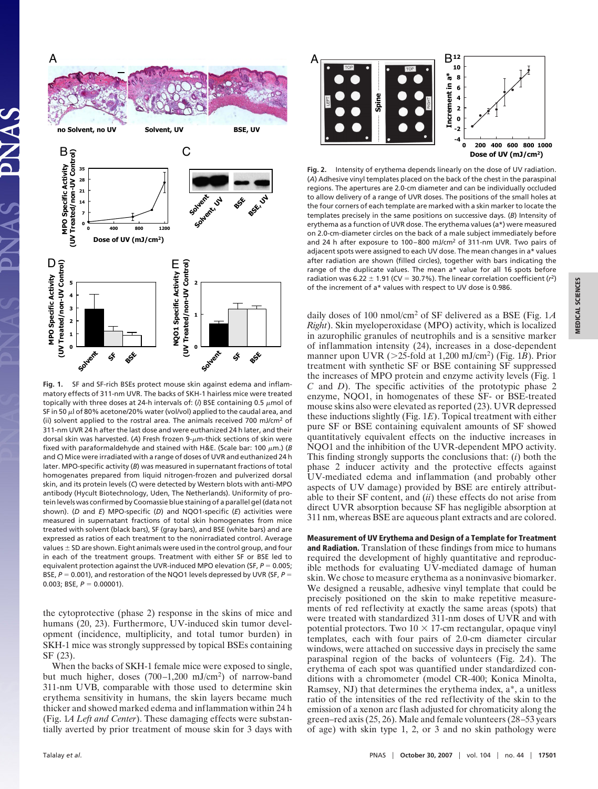

**Fig. 1.** SF and SF-rich BSEs protect mouse skin against edema and inflammatory effects of 311-nm UVR. The backs of SKH-1 hairless mice were treated topically with three doses at 24-h intervals of: ( $i$ ) BSE containing 0.5  $\mu$ mol of SF in 50  $\mu$  of 80% acetone/20% water (vol/vol) applied to the caudal area, and (ii) solvent applied to the rostral area. The animals received 700 mJ/cm2 of 311-nm UVR 24 h after the last dose and were euthanized 24 h later, and their dorsal skin was harvested. (A) Fresh frozen 9-µm-thick sections of skin were fixed with paraformaldehyde and stained with H&E. (Scale bar: 100  $\mu$ m.) (*B* and *C*) Mice were irradiated with a range of doses of UVR and euthanized 24 h later. MPO-specific activity (*B*) was measured in supernatant fractions of total homogenates prepared from liquid nitrogen-frozen and pulverized dorsal skin, and its protein levels (*C*) were detected by Western blots with anti-MPO antibody (Hycult Biotechnology, Uden, The Netherlands). Uniformity of protein levels was confirmed by Coomassie blue staining of a parallel gel (data not shown). (*D* and *E*) MPO-specific (*D*) and NQO1-specific (*E*) activities were measured in supernatant fractions of total skin homogenates from mice treated with solvent (black bars), SF (gray bars), and BSE (white bars) and are expressed as ratios of each treatment to the nonirradiated control. Average values  $\pm$  SD are shown. Eight animals were used in the control group, and four in each of the treatment groups. Treatment with either SF or BSE led to equivalent protection against the UVR-induced MPO elevation (SF,  $P = 0.005$ ; BSE,  $P = 0.001$ ), and restoration of the NQO1 levels depressed by UVR (SF,  $P =$ 0.003; BSE,  $P = 0.00001$ ).

the cytoprotective (phase 2) response in the skins of mice and humans (20, 23). Furthermore, UV-induced skin tumor development (incidence, multiplicity, and total tumor burden) in SKH-1 mice was strongly suppressed by topical BSEs containing SF (23).

When the backs of SKH-1 female mice were exposed to single, but much higher, doses (700–1,200 mJ/cm2) of narrow-band 311-nm UVB, comparable with those used to determine skin erythema sensitivity in humans, the skin layers became much thicker and showed marked edema and inflammation within 24 h (Fig. 1*A Left and Center*). These damaging effects were substantially averted by prior treatment of mouse skin for 3 days with



**Fig. 2.** Intensity of erythema depends linearly on the dose of UV radiation. (*A*) Adhesive vinyl templates placed on the back of the chest in the paraspinal regions. The apertures are 2.0-cm diameter and can be individually occluded to allow delivery of a range of UVR doses. The positions of the small holes at the four corners of each template are marked with a skin marker to locate the templates precisely in the same positions on successive days. (*B*) Intensity of erythema as a function of UVR dose. The erythema values (a\*) were measured on 2.0-cm-diameter circles on the back of a male subject immediately before and 24 h after exposure to 100–800 mJ/cm2 of 311-nm UVR. Two pairs of adjacent spots were assigned to each UV dose. The mean changes in a\* values after radiation are shown (filled circles), together with bars indicating the range of the duplicate values. The mean a\* value for all 16 spots before radiation was  $6.22 \pm 1.91$  (CV = 30.7%). The linear correlation coefficient ( $r^2$ ) of the increment of a\* values with respect to UV dose is 0.986.

daily doses of 100 nmol/cm<sup>2</sup> of SF delivered as a BSE (Fig. 1*A Right*). Skin myeloperoxidase (MPO) activity, which is localized in azurophilic granules of neutrophils and is a sensitive marker of inflammation intensity (24), increases in a dose-dependent manner upon UVR ( $>$ 25-fold at 1,200 mJ/cm<sup>2</sup>) (Fig. 1*B*). Prior treatment with synthetic SF or BSE containing SF suppressed the increases of MPO protein and enzyme activity levels (Fig. 1 *C* and *D*). The specific activities of the prototypic phase 2 enzyme, NQO1, in homogenates of these SF- or BSE-treated mouse skins also were elevated as reported (23). UVR depressed these inductions slightly (Fig. 1*E***)**. Topical treatment with either pure SF or BSE containing equivalent amounts of SF showed quantitatively equivalent effects on the inductive increases in NQO1 and the inhibition of the UVR-dependent MPO activity. This finding strongly supports the conclusions that: (*i*) both the phase 2 inducer activity and the protective effects against UV-mediated edema and inflammation (and probably other aspects of UV damage) provided by BSE are entirely attributable to their SF content, and (*ii*) these effects do not arise from direct UVR absorption because SF has negligible absorption at 311 nm, whereas BSE are aqueous plant extracts and are colored.

**Measurement of UV Erythema and Design of a Template for Treatment and Radiation.** Translation of these findings from mice to humans required the development of highly quantitative and reproducible methods for evaluating UV-mediated damage of human skin. We chose to measure erythema as a noninvasive biomarker. We designed a reusable, adhesive vinyl template that could be precisely positioned on the skin to make repetitive measurements of red reflectivity at exactly the same areas (spots) that were treated with standardized 311-nm doses of UVR and with potential protectors. Two  $10 \times 17$ -cm rectangular, opaque vinyl templates, each with four pairs of 2.0-cm diameter circular windows, were attached on successive days in precisely the same paraspinal region of the backs of volunteers (Fig. 2*A*). The erythema of each spot was quantified under standardized conditions with a chromometer (model CR-400; Konica Minolta, Ramsey, NJ) that determines the erythema index, a\*, a unitless ratio of the intensities of the red reflectivity of the skin to the emission of a xenon arc flash adjusted for chromaticity along the green–red axis (25, 26). Male and female volunteers (28–53 years of age) with skin type 1, 2, or 3 and no skin pathology were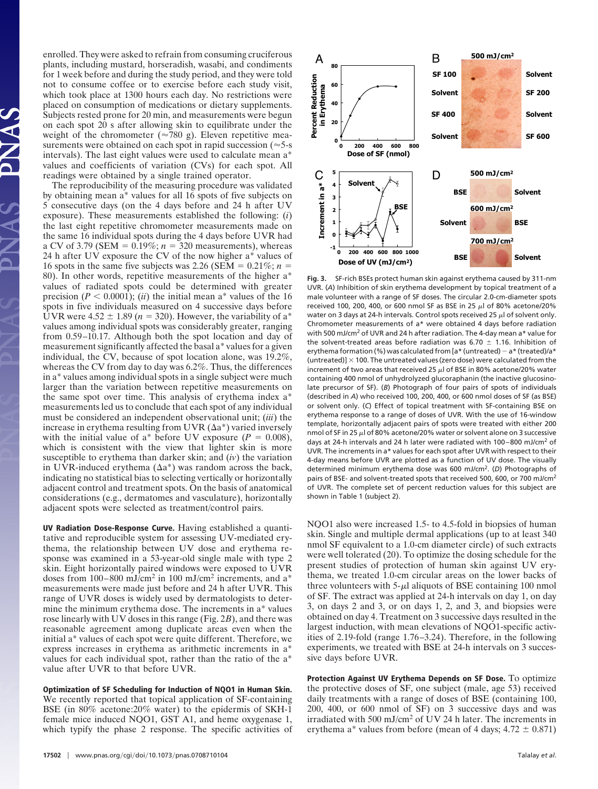enrolled. They were asked to refrain from consuming cruciferous plants, including mustard, horseradish, wasabi, and condiments for 1 week before and during the study period, and they were told not to consume coffee or to exercise before each study visit, which took place at 1300 hours each day. No restrictions were placed on consumption of medications or dietary supplements. Subjects rested prone for 20 min, and measurements were begun on each spot  $20$  s after allowing skin to equilibrate under the weight of the chromometer ( $\approx$ 780 g). Eleven repetitive measurements were obtained on each spot in rapid succession ( $\approx$  5-s intervals). The last eight values were used to calculate mean a\* values and coefficients of variation (CVs) for each spot. All readings were obtained by a single trained operator.

The reproducibility of the measuring procedure was validated by obtaining mean a\* values for all 16 spots of five subjects on 5 consecutive days (on the 4 days before and 24 h after UV exposure). These measurements established the following: (*i*) the last eight repetitive chromometer measurements made on the same 16 individual spots during the 4 days before UVR had a CV of 3.79 (SEM =  $0.19\%$ ;  $n = 320$  measurements), whereas 24 h after UV exposure the CV of the now higher a\* values of 16 spots in the same five subjects was 2.26 (SEM =  $0.21\%$ ; *n* = 80). In other words, repetitive measurements of the higher a\* values of radiated spots could be determined with greater precision ( $P < 0.0001$ ); (*ii*) the initial mean a<sup>\*</sup> values of the 16 spots in five individuals measured on 4 successive days before UVR were  $4.52 \pm 1.89$  ( $n = 320$ ). However, the variability of a<sup>\*</sup> values among individual spots was considerably greater, ranging from 0.59–10.17. Although both the spot location and day of measurement significantly affected the basal a\* values for a given individual, the CV, because of spot location alone, was 19.2%, whereas the CV from day to day was 6.2%. Thus, the differences in a\* values among individual spots in a single subject were much larger than the variation between repetitive measurements on the same spot over time. This analysis of erythema index a\* measurements led us to conclude that each spot of any individual must be considered an independent observational unit; (*iii*) the increase in erythema resulting from UVR  $(\Delta a^*)$  varied inversely with the initial value of a\* before UV exposure  $(P = 0.008)$ , which is consistent with the view that lighter skin is more susceptible to erythema than darker skin; and (*iv*) the variation in UVR-induced erythema  $(\Delta a^*)$  was random across the back, indicating no statistical bias to selecting vertically or horizontally adjacent control and treatment spots. On the basis of anatomical considerations (e.g., dermatomes and vasculature), horizontally adjacent spots were selected as treatment/control pairs.

**UV Radiation Dose-Response Curve.** Having established a quantitative and reproducible system for assessing UV-mediated erythema, the relationship between UV dose and erythema response was examined in a 53-year-old single male with type 2 skin. Eight horizontally paired windows were exposed to UVR doses from 100–800 mJ/cm<sup>2</sup> in 100 mJ/cm<sup>2</sup> increments, and a<sup>\*</sup> measurements were made just before and 24 h after UVR. This range of UVR doses is widely used by dermatologists to determine the minimum erythema dose. The increments in a\* values rose linearly with UV doses in this range (Fig. 2*B*), and there was reasonable agreement among duplicate areas even when the initial a\* values of each spot were quite different. Therefore, we express increases in erythema as arithmetic increments in a\* values for each individual spot, rather than the ratio of the a\* value after UVR to that before UVR.

**Optimization of SF Scheduling for Induction of NQO1 in Human Skin.** We recently reported that topical application of SF-containing BSE (in 80% acetone:20% water) to the epidermis of SKH-1 female mice induced NQO1, GST A1, and heme oxygenase 1, which typify the phase 2 response. The specific activities of



**Fig. 3.** SF-rich BSEs protect human skin against erythema caused by 311-nm UVR. (*A*) Inhibition of skin erythema development by topical treatment of a male volunteer with a range of SF doses. The circular 2.0-cm-diameter spots received 100, 200, 400, or 600 nmol SF as BSE in 25  $\mu$ l of 80% acetone/20% water on 3 days at 24-h intervals. Control spots received 25  $\mu$ l of solvent only. Chromometer measurements of a\* were obtained 4 days before radiation with 500 mJ/cm2 of UVR and 24 h after radiation. The 4-day mean a\* value for the solvent-treated areas before radiation was 6.70  $\pm$  1.16. Inhibition of erythema formation (%) was calculated from [a\* (untreated)  $-$  a\* (treated)/a\* (untreated)]  $\times$  100. The untreated values (zero dose) were calculated from the increment of two areas that received 25  $\mu$ l of BSE in 80% acetone/20% water containing 400 nmol of unhydrolyzed glucoraphanin (the inactive glucosinolate precursor of SF). (*B*) Photograph of four pairs of spots of individuals (described in *A*) who received 100, 200, 400, or 600 nmol doses of SF (as BSE) or solvent only. (*C*) Effect of topical treatment with SF-containing BSE on erythema response to a range of doses of UVR. With the use of 16-window template, horizontally adjacent pairs of spots were treated with either 200 nmol of SF in 25  $\mu$ l of 80% acetone/20% water or solvent alone on 3 successive days at 24-h intervals and 24 h later were radiated with 100–800 mJ/cm2 of UVR. The increments in a\* values for each spot after UVR with respect to their 4-day means before UVR are plotted as a function of UV dose. The visually determined minimum erythema dose was 600 mJ/cm2. (*D*) Photographs of pairs of BSE- and solvent-treated spots that received 500, 600, or 700 mJ/cm<sup>2</sup> of UVR. The complete set of percent reduction values for this subject are shown in Table 1 (subject 2).

NQO1 also were increased 1.5- to 4.5-fold in biopsies of human skin. Single and multiple dermal applications (up to at least 340 nmol SF equivalent to a 1.0-cm diameter circle) of such extracts were well tolerated (20). To optimize the dosing schedule for the present studies of protection of human skin against UV erythema, we treated 1.0-cm circular areas on the lower backs of three volunteers with  $5-\mu l$  aliquots of BSE containing 100 nmol of SF. The extract was applied at 24-h intervals on day 1, on day 3, on days 2 and 3, or on days 1, 2, and 3, and biopsies were obtained on day 4. Treatment on 3 successive days resulted in the largest induction, with mean elevations of NQO1-specific activities of 2.19-fold (range 1.76–3.24). Therefore, in the following experiments, we treated with BSE at 24-h intervals on 3 successive days before UVR.

**Protection Against UV Erythema Depends on SF Dose.** To optimize the protective doses of SF, one subject (male, age 53) received daily treatments with a range of doses of BSE (containing 100, 200, 400, or 600 nmol of SF) on 3 successive days and was irradiated with 500 mJ/cm<sup>2</sup> of UV 24 h later. The increments in erythema a\* values from before (mean of 4 days;  $4.72 \pm 0.871$ )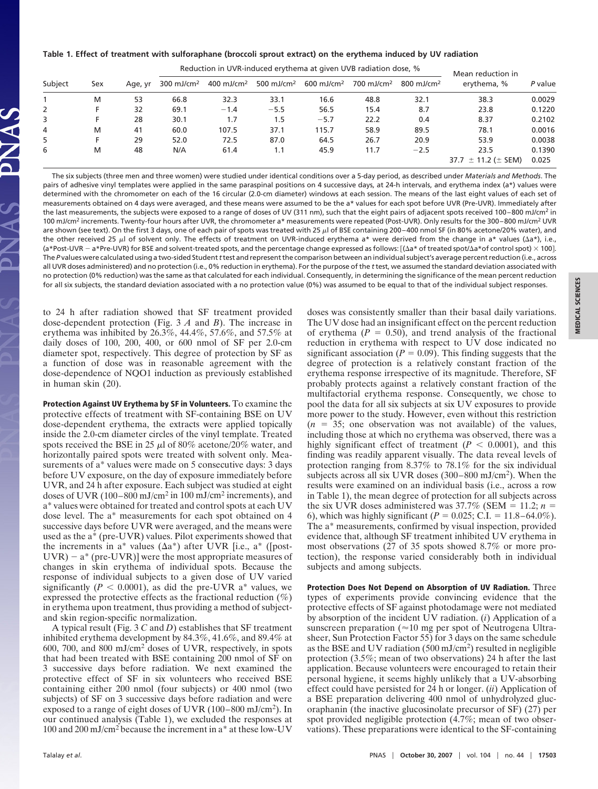**Table 1. Effect of treatment with sulforaphane (broccoli sprout extract) on the erythema induced by UV radiation**

| Subject | Sex | Age, yr | Reduction in UVR-induced erythema at given UVB radiation dose, % |                        |                        |                          |                          |                        | Mean reduction in            |         |
|---------|-----|---------|------------------------------------------------------------------|------------------------|------------------------|--------------------------|--------------------------|------------------------|------------------------------|---------|
|         |     |         | 300 mJ/cm <sup>2</sup>                                           | 400 mJ/cm <sup>2</sup> | 500 mJ/cm <sup>2</sup> | $600$ mJ/cm <sup>2</sup> | $700$ mJ/cm <sup>2</sup> | 800 mJ/cm <sup>2</sup> | erythema, %                  | P value |
|         | M   | 53      | 66.8                                                             | 32.3                   | 33.1                   | 16.6                     | 48.8                     | 32.1                   | 38.3                         | 0.0029  |
| 2       | F   | 32      | 69.1                                                             | $-1.4$                 | $-5.5$                 | 56.5                     | 15.4                     | 8.7                    | 23.8                         | 0.1220  |
| 3       |     | 28      | 30.1                                                             | 1.7                    | 1.5                    | $-5.7$                   | 22.2                     | 0.4                    | 8.37                         | 0.2102  |
| 4       | M   | 41      | 60.0                                                             | 107.5                  | 37.1                   | 115.7                    | 58.9                     | 89.5                   | 78.1                         | 0.0016  |
| 5       | F   | 29      | 52.0                                                             | 72.5                   | 87.0                   | 64.5                     | 26.7                     | 20.9                   | 53.9                         | 0.0038  |
| 6       | M   | 48      | N/A                                                              | 61.4                   | 1.1                    | 45.9                     | 11.7                     | $-2.5$                 | 23.5                         | 0.1390  |
|         |     |         |                                                                  |                        |                        |                          |                          |                        | 37.7 $\pm$ 11.2 ( $\pm$ SEM) | 0.025   |

The six subjects (three men and three women) were studied under identical conditions over a 5-day period, as described under *Materials and Methods*. The pairs of adhesive vinyl templates were applied in the same paraspinal positions on 4 successive days, at 24-h intervals, and erythema index (a\*) values were determined with the chromometer on each of the 16 circular (2.0-cm diameter) windows at each session. The means of the last eight values of each set of measurements obtained on 4 days were averaged, and these means were assumed to be the a\* values for each spot before UVR (Pre-UVR). Immediately after the last measurements, the subjects were exposed to a range of doses of UV (311 nm), such that the eight pairs of adjacent spots received 100-800 mJ/cm<sup>2</sup> in 100 mJ/cm<sup>2</sup> increments. Twenty-four hours after UVR, the chromometer a\* measurements were repeated (Post-UVR). Only results for the 300-800 mJ/cm<sup>2</sup> UVR are shown (see text). On the first 3 days, one of each pair of spots was treated with 25  $\mu$ l of BSE containing 200-400 nmol SF (in 80% acetone/20% water), and the other received 25  $\mu$ l of solvent only. The effects of treatment on UVR-induced erythema a\* were derived from the change in a\* values ( $\Delta$ a\*), i.e., (a\*Post-UVR  $-$  a\*Pre-UVR) for BSE and solvent-treated spots, and the percentage change expressed as follows: [(∆a\* of treated spot/∆a\*of control spot)  $\times$  100]. The *P* values were calculated using a two-sided Student*t*test and represent the comparison between an individual subject's average percent reduction (i.e., across all UVR doses administered) and no protection (i.e., 0% reduction in erythema). For the purpose of the *t*test, we assumed the standard deviation associated with no protection (0% reduction) was the same as that calculated for each individual. Consequently, in determining the significance of the mean percent reduction for all six subjects, the standard deviation associated with a no protection value (0%) was assumed to be equal to that of the individual subject responses.

to 24 h after radiation showed that SF treatment provided dose-dependent protection (Fig. 3 *A* and *B*). The increase in erythema was inhibited by 26.3%, 44.4%, 57.6%, and 57.5% at daily doses of 100, 200, 400, or 600 nmol of SF per 2.0-cm diameter spot, respectively. This degree of protection by SF as a function of dose was in reasonable agreement with the dose-dependence of NQO1 induction as previously established in human skin (20).

**Protection Against UV Erythema by SF in Volunteers.** To examine the protective effects of treatment with SF-containing BSE on UV dose-dependent erythema, the extracts were applied topically inside the 2.0-cm diameter circles of the vinyl template. Treated spots received the BSE in 25  $\mu$ l of 80% acetone/20% water, and horizontally paired spots were treated with solvent only. Measurements of a\* values were made on 5 consecutive days: 3 days before UV exposure, on the day of exposure immediately before UVR, and 24 h after exposure. Each subject was studied at eight doses of UVR (100–800 mJ/cm<sup>2</sup> in 100 mJ/cm<sup>2</sup> increments), and a\* values were obtained for treated and control spots at each UV dose level. The a\* measurements for each spot obtained on 4 successive days before UVR were averaged, and the means were used as the a\* (pre-UVR) values. Pilot experiments showed that the increments in a\* values  $(\Delta a^*)$  after UVR [i.e., a\* ([post- $UVR$ ) –  $a^*$  (pre-UVR)] were the most appropriate measures of changes in skin erythema of individual spots. Because the response of individual subjects to a given dose of UV varied significantly ( $P < 0.0001$ ), as did the pre-UVR a<sup>\*</sup> values, we expressed the protective effects as the fractional reduction  $(\%)$ in erythema upon treatment, thus providing a method of subjectand skin region-specific normalization.

A typical result (Fig. 3 *C* and *D*) establishes that SF treatment inhibited erythema development by 84.3%, 41.6%, and 89.4% at 600, 700, and 800 mJ/cm<sup>2</sup> doses of UVR, respectively, in spots that had been treated with BSE containing 200 nmol of SF on 3 successive days before radiation. We next examined the protective effect of SF in six volunteers who received BSE containing either 200 nmol (four subjects) or 400 nmol (two subjects) of SF on 3 successive days before radiation and were exposed to a range of eight doses of UVR (100–800 mJ/cm2). In our continued analysis (Table 1), we excluded the responses at 100 and 200 mJ/cm<sup>2</sup> because the increment in a\* at these low-UV

doses was consistently smaller than their basal daily variations. The UV dose had an insignificant effect on the percent reduction of erythema  $(P = 0.50)$ , and trend analysis of the fractional reduction in erythema with respect to UV dose indicated no significant association ( $P = 0.09$ ). This finding suggests that the degree of protection is a relatively constant fraction of the erythema response irrespective of its magnitude. Therefore, SF probably protects against a relatively constant fraction of the multifactorial erythema response. Consequently, we chose to pool the data for all six subjects at six UV exposures to provide more power to the study. However, even without this restriction  $(n = 35;$  one observation was not available) of the values, including those at which no erythema was observed, there was a highly significant effect of treatment ( $P < 0.0001$ ), and this finding was readily apparent visually. The data reveal levels of protection ranging from 8.37% to 78.1% for the six individual subjects across all six UVR doses (300–800 mJ/cm2). When the results were examined on an individual basis (i.e., across a row in Table 1), the mean degree of protection for all subjects across the six UVR doses administered was  $37.7\%$  (SEM = 11.2; *n* = 6), which was highly significant ( $P = 0.025$ ; C.I. = 11.8–64.0%). The a\* measurements, confirmed by visual inspection, provided evidence that, although SF treatment inhibited UV erythema in most observations (27 of 35 spots showed 8.7% or more protection), the response varied considerably both in individual subjects and among subjects.

**Protection Does Not Depend on Absorption of UV Radiation.** Three types of experiments provide convincing evidence that the protective effects of SF against photodamage were not mediated by absorption of the incident UV radiation. (*i*) Application of a sunscreen preparation ( $\approx$ 10 mg per spot of Neutrogena Ultrasheer, Sun Protection Factor 55) for 3 days on the same schedule as the BSE and UV radiation (500 mJ/cm2) resulted in negligible protection (3.5%; mean of two observations) 24 h after the last application. Because volunteers were encouraged to retain their personal hygiene, it seems highly unlikely that a UV-absorbing effect could have persisted for 24 h or longer. (*ii*) Application of a BSE preparation delivering 400 nmol of unhydrolyzed glucoraphanin (the inactive glucosinolate precursor of SF) (27) per spot provided negligible protection (4.7%; mean of two observations). These preparations were identical to the SF-containing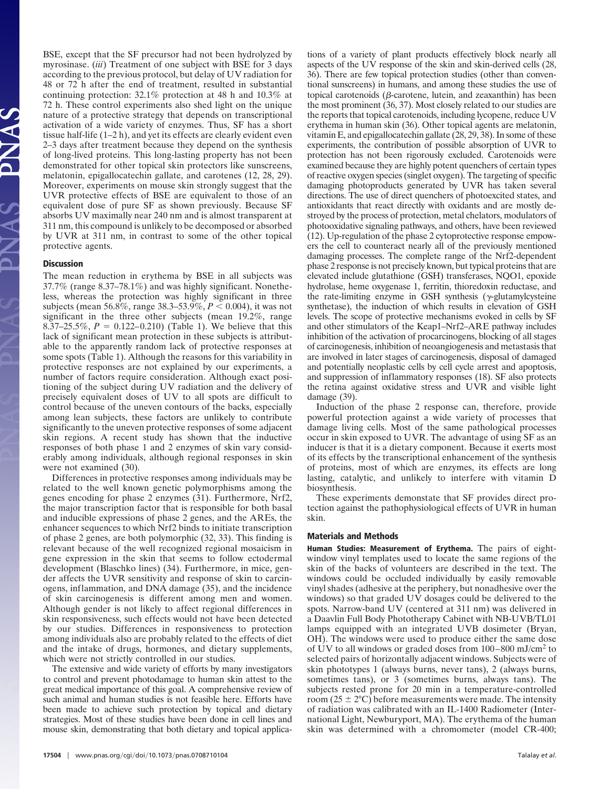BSE, except that the SF precursor had not been hydrolyzed by myrosinase. (*iii*) Treatment of one subject with BSE for 3 days according to the previous protocol, but delay of UV radiation for 48 or 72 h after the end of treatment, resulted in substantial continuing protection: 32.1% protection at 48 h and 10.3% at 72 h. These control experiments also shed light on the unique nature of a protective strategy that depends on transcriptional activation of a wide variety of enzymes. Thus, SF has a short tissue half-life (1–2 h), and yet its effects are clearly evident even 2–3 days after treatment because they depend on the synthesis of long-lived proteins. This long-lasting property has not been demonstrated for other topical skin protectors like sunscreens, melatonin, epigallocatechin gallate, and carotenes (12, 28, 29). Moreover, experiments on mouse skin strongly suggest that the UVR protective effects of BSE are equivalent to those of an equivalent dose of pure SF as shown previously. Because SF absorbs UV maximally near 240 nm and is almost transparent at 311 nm, this compound is unlikely to be decomposed or absorbed by UVR at 311 nm, in contrast to some of the other topical protective agents.

## **Discussion**

The mean reduction in erythema by BSE in all subjects was 37.7% (range 8.37–78.1%) and was highly significant. Nonetheless, whereas the protection was highly significant in three subjects (mean 56.8%, range  $38.3 - 53.9\%$ ,  $P < 0.004$ ), it was not significant in the three other subjects (mean 19.2%, range 8.37–25.5%,  $P = 0.122 - 0.210$  (Table 1). We believe that this lack of significant mean protection in these subjects is attributable to the apparently random lack of protective responses at some spots (Table 1). Although the reasons for this variability in protective responses are not explained by our experiments, a number of factors require consideration. Although exact positioning of the subject during UV radiation and the delivery of precisely equivalent doses of UV to all spots are difficult to control because of the uneven contours of the backs, especially among lean subjects, these factors are unlikely to contribute significantly to the uneven protective responses of some adjacent skin regions. A recent study has shown that the inductive responses of both phase 1 and 2 enzymes of skin vary considerably among individuals, although regional responses in skin were not examined (30).

Differences in protective responses among individuals may be related to the well known genetic polymorphisms among the genes encoding for phase 2 enzymes (31). Furthermore, Nrf2, the major transcription factor that is responsible for both basal and inducible expressions of phase 2 genes, and the AREs, the enhancer sequences to which Nrf2 binds to initiate transcription of phase 2 genes, are both polymorphic (32, 33). This finding is relevant because of the well recognized regional mosaicism in gene expression in the skin that seems to follow ectodermal development (Blaschko lines) (34). Furthermore, in mice, gender affects the UVR sensitivity and response of skin to carcinogens, inflammation, and DNA damage (35), and the incidence of skin carcinogenesis is different among men and women. Although gender is not likely to affect regional differences in skin responsiveness, such effects would not have been detected by our studies. Differences in responsiveness to protection among individuals also are probably related to the effects of diet and the intake of drugs, hormones, and dietary supplements, which were not strictly controlled in our studies.

The extensive and wide variety of efforts by many investigators to control and prevent photodamage to human skin attest to the great medical importance of this goal. A comprehensive review of such animal and human studies is not feasible here. Efforts have been made to achieve such protection by topical and dietary strategies. Most of these studies have been done in cell lines and mouse skin, demonstrating that both dietary and topical applications of a variety of plant products effectively block nearly all aspects of the UV response of the skin and skin-derived cells (28, 36). There are few topical protection studies (other than conventional sunscreens) in humans, and among these studies the use of topical carotenoids ( $\beta$ -carotene, lutein, and zeaxanthin) has been the most prominent (36, 37). Most closely related to our studies are the reports that topical carotenoids, including lycopene, reduce UV erythema in human skin (36). Other topical agents are melatonin, vitamin E, and epigallocatechin gallate (28, 29, 38). In some of these experiments, the contribution of possible absorption of UVR to protection has not been rigorously excluded. Carotenoids were examined because they are highly potent quenchers of certain types of reactive oxygen species (singlet oxygen). The targeting of specific damaging photoproducts generated by UVR has taken several directions. The use of direct quenchers of photoexcited states, and antioxidants that react directly with oxidants and are mostly destroyed by the process of protection, metal chelators, modulators of photooxidative signaling pathways, and others, have been reviewed (12). Up-regulation of the phase 2 cytoprotective response empowers the cell to counteract nearly all of the previously mentioned damaging processes. The complete range of the Nrf2-dependent phase 2 response is not precisely known, but typical proteins that are elevated include glutathione (GSH) transferases, NQO1, epoxide hydrolase, heme oxygenase 1, ferritin, thioredoxin reductase, and the rate-limiting enzyme in GSH synthesis ( $\gamma$ -glutamylcysteine synthetase), the induction of which results in elevation of GSH levels. The scope of protective mechanisms evoked in cells by SF and other stimulators of the Keap1–Nrf2–ARE pathway includes inhibition of the activation of procarcinogens, blocking of all stages of carcinogenesis, inhibition of neoangiogenesis and metastasis that are involved in later stages of carcinogenesis, disposal of damaged and potentially neoplastic cells by cell cycle arrest and apoptosis, and suppression of inflammatory responses (18). SF also protects the retina against oxidative stress and UVR and visible light damage (39).

Induction of the phase 2 response can, therefore, provide powerful protection against a wide variety of processes that damage living cells. Most of the same pathological processes occur in skin exposed to UVR. The advantage of using SF as an inducer is that it is a dietary component. Because it exerts most of its effects by the transcriptional enhancement of the synthesis of proteins, most of which are enzymes, its effects are long lasting, catalytic, and unlikely to interfere with vitamin D biosynthesis.

These experiments demonstate that SF provides direct protection against the pathophysiological effects of UVR in human skin.

## **Materials and Methods**

**Human Studies: Measurement of Erythema.** The pairs of eightwindow vinyl templates used to locate the same regions of the skin of the backs of volunteers are described in the text. The windows could be occluded individually by easily removable vinyl shades (adhesive at the periphery, but nonadhesive over the windows) so that graded UV dosages could be delivered to the spots. Narrow-band UV (centered at 311 nm) was delivered in a Daavlin Full Body Phototherapy Cabinet with NB-UVB/TL01 lamps equipped with an integrated UVB dosimeter (Bryan, OH). The windows were used to produce either the same dose of UV to all windows or graded doses from 100–800 mJ/cm<sup>2</sup> to selected pairs of horizontally adjacent windows. Subjects were of skin phototypes 1 (always burns, never tans), 2 (always burns, sometimes tans), or 3 (sometimes burns, always tans). The subjects rested prone for 20 min in a temperature-controlled room (25  $\pm$  2°C) before measurements were made. The intensity of radiation was calibrated with an IL-1400 Radiometer (International Light, Newburyport, MA). The erythema of the human skin was determined with a chromometer (model CR-400;